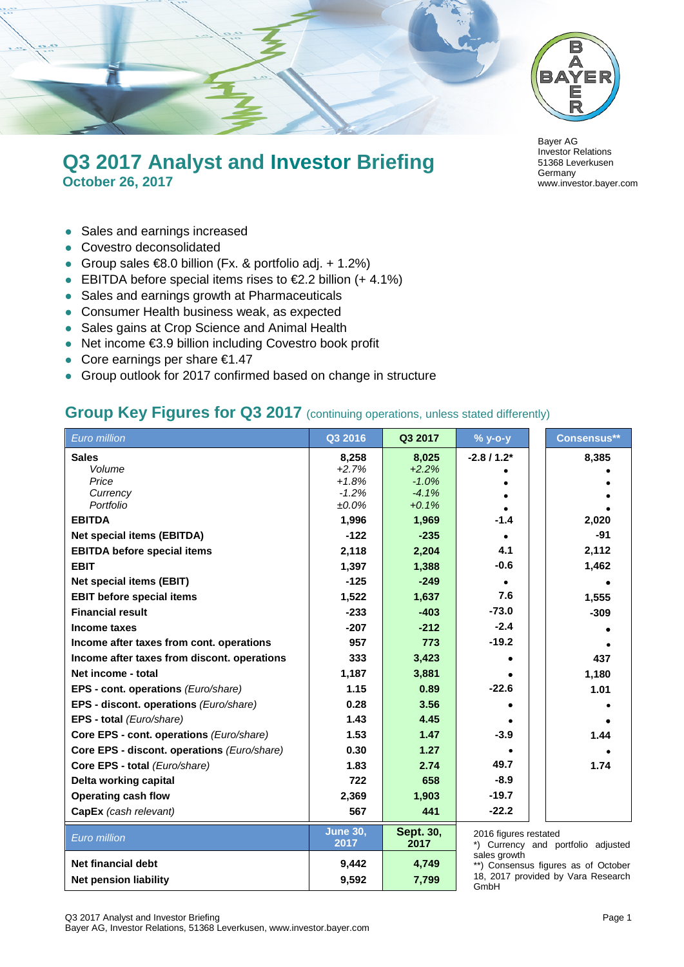

## **Q3 2017 Analyst and Investor Briefing October 26, 2017**

- Sales and earnings increased
- Covestro deconsolidated
- Group sales  $\text{\large\ensuremath{\in}} 8.0$  billion (Fx. & portfolio adj. + 1.2%)
- EBITDA before special items rises to  $£2.2$  billion (+ 4.1%)
- Sales and earnings growth at Pharmaceuticals
- Consumer Health business weak, as expected
- Sales gains at Crop Science and Animal Health
- Net income €3.9 billion including Covestro book profit
- Core earnings per share €1.47
- Group outlook for 2017 confirmed based on change in structure



#### **Group Key Figures for Q3 2017** (continuing operations, unless stated differently)

| Euro million                                | Q3 2016                 | Q3 2017                  | $%$ y-o-y             | Consensus**                         |
|---------------------------------------------|-------------------------|--------------------------|-----------------------|-------------------------------------|
| <b>Sales</b>                                | 8,258                   | 8,025                    | $-2.8/1.2*$           | 8,385                               |
| Volume                                      | $+2.7%$                 | $+2.2%$                  |                       |                                     |
| Price                                       | $+1.8%$                 | $-1.0%$                  |                       |                                     |
| Currency<br>Portfolio                       | $-1.2%$<br>$±0.0\%$     | $-4.1%$<br>$+0.1%$       |                       |                                     |
| <b>EBITDA</b>                               | 1,996                   | 1,969                    | $-1.4$                | 2,020                               |
| <b>Net special items (EBITDA)</b>           | $-122$                  | $-235$                   |                       | $-91$                               |
| <b>EBITDA before special items</b>          | 2,118                   | 2,204                    | 4.1                   | 2,112                               |
|                                             |                         |                          | $-0.6$                | 1,462                               |
| <b>EBIT</b>                                 | 1,397                   | 1,388                    |                       |                                     |
| <b>Net special items (EBIT)</b>             | $-125$                  | $-249$                   |                       |                                     |
| <b>EBIT before special items</b>            | 1,522                   | 1,637                    | 7.6                   | 1,555                               |
| <b>Financial result</b>                     | $-233$                  | $-403$                   | $-73.0$               | $-309$                              |
| Income taxes                                | $-207$                  | $-212$                   | $-2.4$                |                                     |
| Income after taxes from cont. operations    | 957                     | 773                      | $-19.2$               |                                     |
| Income after taxes from discont. operations | 333                     | 3,423                    |                       | 437                                 |
| Net income - total                          | 1,187                   | 3,881                    |                       | 1,180                               |
| EPS - cont. operations (Euro/share)         | 1.15                    | 0.89                     | $-22.6$               | 1.01                                |
| EPS - discont. operations (Euro/share)      | 0.28                    | 3.56                     |                       |                                     |
| EPS - total (Euro/share)                    | 1.43                    | 4.45                     |                       |                                     |
| Core EPS - cont. operations (Euro/share)    | 1.53                    | 1.47                     | $-3.9$                | 1.44                                |
| Core EPS - discont. operations (Euro/share) | 0.30                    | 1.27                     |                       |                                     |
| Core EPS - total (Euro/share)               | 1.83                    | 2.74                     | 49.7                  | 1.74                                |
| Delta working capital                       | 722                     | 658                      | $-8.9$                |                                     |
| <b>Operating cash flow</b>                  | 2,369                   | 1,903                    | $-19.7$               |                                     |
| CapEx (cash relevant)                       | 567                     | 441                      | $-22.2$               |                                     |
| Euro million                                | <b>June 30,</b><br>2017 | <b>Sept. 30,</b><br>2017 | 2016 figures restated | *) Currency and portfolio adjusted  |
| Net financial debt                          | 9,442                   | 4,749                    | sales growth          | **) Consensus figures as of October |
| <b>Net pension liability</b>                | 9,592                   | 7,799                    |                       | 18, 2017 provided by Vara Research  |

GmbH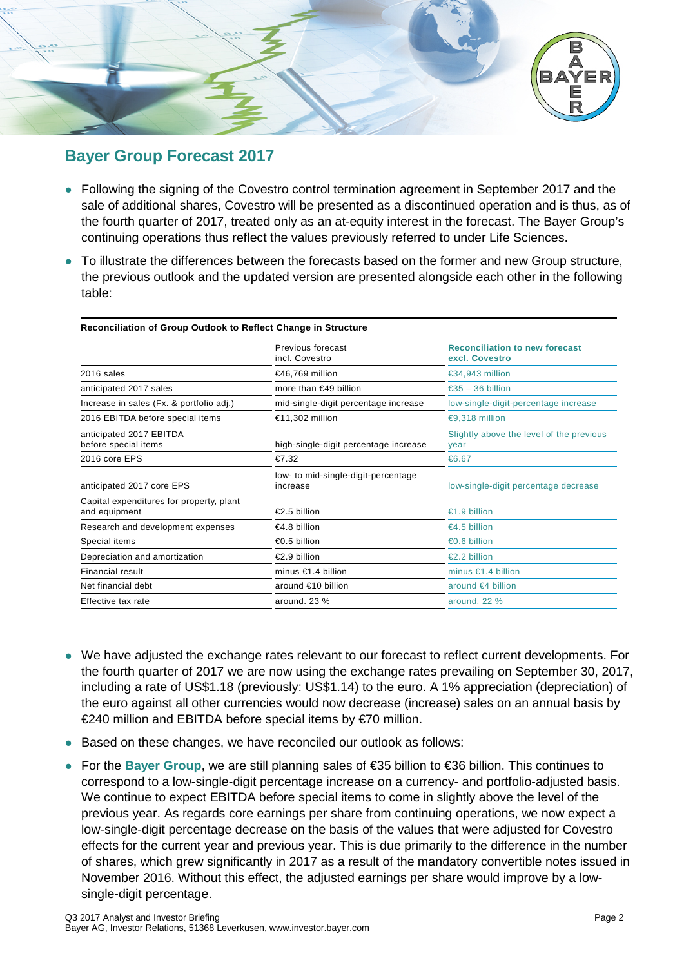

## **Bayer Group Forecast 2017**

- Following the signing of the Covestro control termination agreement in September 2017 and the sale of additional shares, Covestro will be presented as a discontinued operation and is thus, as of the fourth quarter of 2017, treated only as an at-equity interest in the forecast. The Bayer Group's continuing operations thus reflect the values previously referred to under Life Sciences.
- To illustrate the differences between the forecasts based on the former and new Group structure, the previous outlook and the updated version are presented alongside each other in the following table:

|                                                           | Previous forecast<br>incl. Covestro             | <b>Reconciliation to new forecast</b><br>excl. Covestro |
|-----------------------------------------------------------|-------------------------------------------------|---------------------------------------------------------|
| 2016 sales                                                | €46,769 million                                 | €34,943 million                                         |
| anticipated 2017 sales                                    | more than $\in$ 49 billion                      | €35 – 36 billion                                        |
| Increase in sales (Fx. & portfolio adj.)                  | mid-single-digit percentage increase            | low-single-digit-percentage increase                    |
| 2016 EBITDA before special items                          | €11,302 million                                 | €9,318 million                                          |
| anticipated 2017 EBITDA<br>before special items           | high-single-digit percentage increase           | Slightly above the level of the previous<br>year        |
| 2016 core EPS                                             | $\epsilon$ 7.32                                 | €6.67                                                   |
| anticipated 2017 core EPS                                 | low- to mid-single-digit-percentage<br>increase | low-single-digit percentage decrease                    |
| Capital expenditures for property, plant<br>and equipment | $\epsilon$ 2.5 billion                          | €1.9 billion                                            |
| Research and development expenses                         | $€4.8$ billion                                  | €4.5 billion                                            |
| Special items                                             | €0.5 billion                                    | $\epsilon$ 0.6 billion                                  |
| Depreciation and amortization                             | $\epsilon$ 2.9 billion                          | €2.2 billion                                            |
| Financial result                                          | minus $\in 1.4$ billion                         | minus $\epsilon$ 1.4 billion                            |
| Net financial debt                                        | around €10 billion                              | around $\epsilon$ 4 billion                             |
| Effective tax rate                                        | around. $23\%$                                  | around, 22 %                                            |
|                                                           |                                                 |                                                         |

#### **Reconciliation of Group Outlook to Reflect Change in Structure**

- We have adjusted the exchange rates relevant to our forecast to reflect current developments. For the fourth quarter of 2017 we are now using the exchange rates prevailing on September 30, 2017, including a rate of US\$1.18 (previously: US\$1.14) to the euro. A 1% appreciation (depreciation) of the euro against all other currencies would now decrease (increase) sales on an annual basis by €240 million and EBITDA before special items by €70 million.
- Based on these changes, we have reconciled our outlook as follows:
- For the **Bayer Group**, we are still planning sales of €35 billion to €36 billion. This continues to correspond to a low-single-digit percentage increase on a currency- and portfolio-adjusted basis. We continue to expect EBITDA before special items to come in slightly above the level of the previous year. As regards core earnings per share from continuing operations, we now expect a low-single-digit percentage decrease on the basis of the values that were adjusted for Covestro effects for the current year and previous year. This is due primarily to the difference in the number of shares, which grew significantly in 2017 as a result of the mandatory convertible notes issued in November 2016. Without this effect, the adjusted earnings per share would improve by a lowsingle-digit percentage.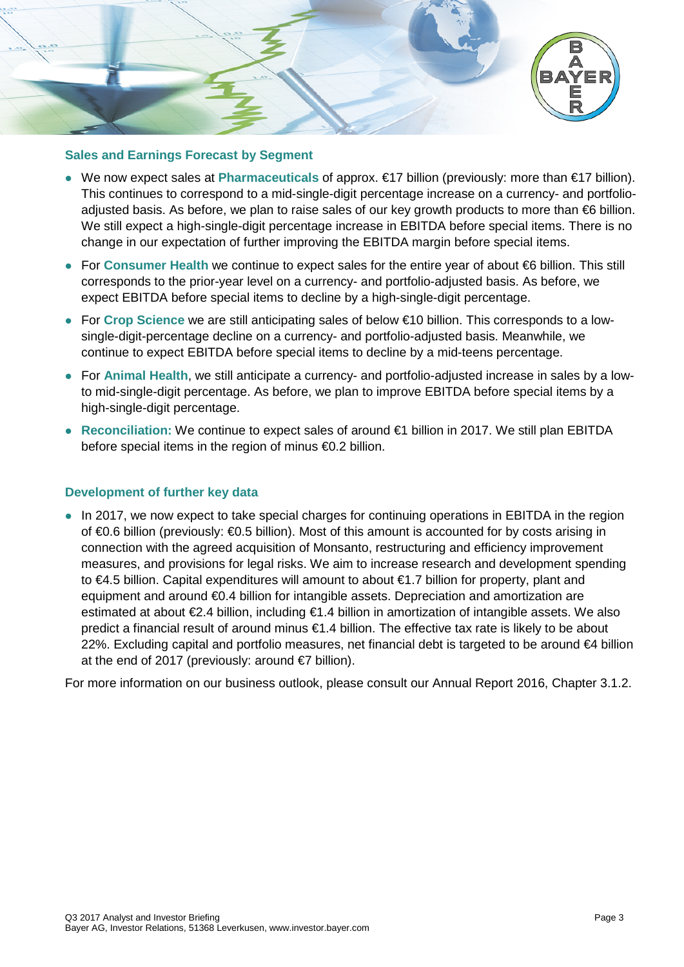

#### **Sales and Earnings Forecast by Segment**

- We now expect sales at **Pharmaceuticals** of approx. €17 billion (previously: more than €17 billion). This continues to correspond to a mid-single-digit percentage increase on a currency- and portfolioadjusted basis. As before, we plan to raise sales of our key growth products to more than €6 billion. We still expect a high-single-digit percentage increase in EBITDA before special items. There is no change in our expectation of further improving the EBITDA margin before special items.
- For **Consumer Health** we continue to expect sales for the entire year of about €6 billion. This still corresponds to the prior-year level on a currency- and portfolio-adjusted basis. As before, we expect EBITDA before special items to decline by a high-single-digit percentage.
- For **Crop Science** we are still anticipating sales of below €10 billion. This corresponds to a lowsingle-digit-percentage decline on a currency- and portfolio-adjusted basis. Meanwhile, we continue to expect EBITDA before special items to decline by a mid-teens percentage.
- For **Animal Health**, we still anticipate a currency- and portfolio-adjusted increase in sales by a lowto mid-single-digit percentage. As before, we plan to improve EBITDA before special items by a high-single-digit percentage.
- **Reconciliation:** We continue to expect sales of around €1 billion in 2017. We still plan EBITDA before special items in the region of minus €0.2 billion.

#### **Development of further key data**

• In 2017, we now expect to take special charges for continuing operations in EBITDA in the region of €0.6 billion (previously: €0.5 billion). Most of this amount is accounted for by costs arising in connection with the agreed acquisition of Monsanto, restructuring and efficiency improvement measures, and provisions for legal risks. We aim to increase research and development spending to €4.5 billion. Capital expenditures will amount to about €1.7 billion for property, plant and equipment and around €0.4 billion for intangible assets. Depreciation and amortization are estimated at about €2.4 billion, including €1.4 billion in amortization of intangible assets. We also predict a financial result of around minus €1.4 billion. The effective tax rate is likely to be about 22%. Excluding capital and portfolio measures, net financial debt is targeted to be around €4 billion at the end of 2017 (previously: around €7 billion).

For more information on our business outlook, please consult our Annual Report 2016, Chapter 3.1.2.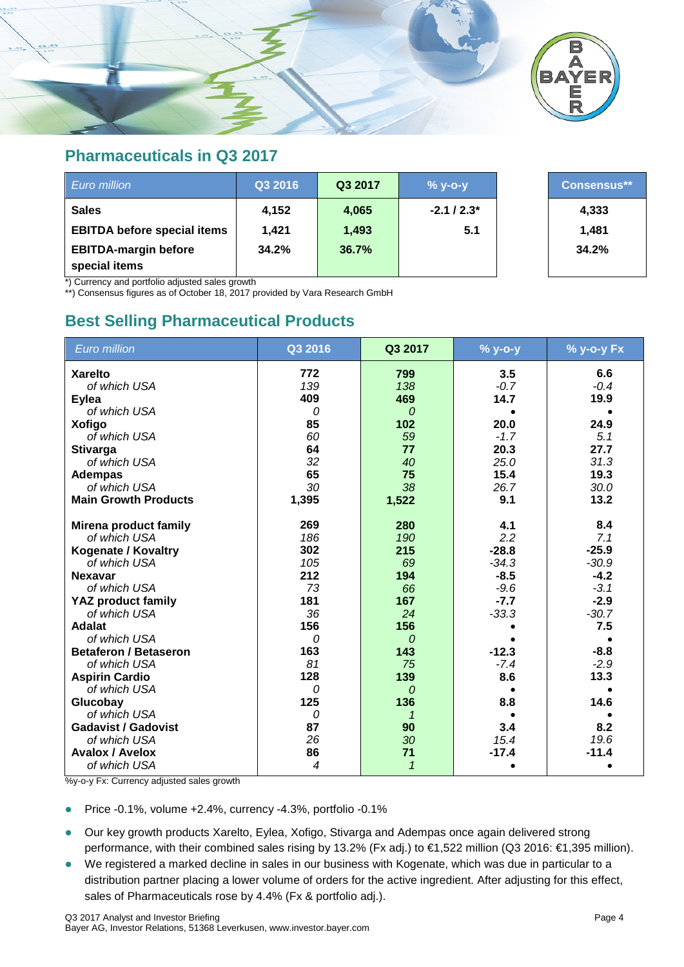

#### **Pharmaceuticals in Q3 2017**

| Euro million                                 | Q3 2016 | Q3 2017 | $%$ y-o-y   | <b>Consensus**</b> |
|----------------------------------------------|---------|---------|-------------|--------------------|
| <b>Sales</b>                                 | 4,152   | 4,065   | $-2.1/2.3*$ | 4,333              |
| <b>EBITDA before special items</b>           | 1.421   | 1,493   | 5.1         | 1.481              |
| <b>EBITDA-margin before</b><br>special items | 34.2%   | 36.7%   |             | 34.2%              |

\*) Currency and portfolio adjusted sales growth

\*\*) Consensus figures as of October 18, 2017 provided by Vara Research GmbH

## **Best Selling Pharmaceutical Products**

| <b>Euro million</b>          | Q3 2016 | Q3 2017      | % y-o-y | % y-o-y Fx |
|------------------------------|---------|--------------|---------|------------|
| <b>Xarelto</b>               | 772     | 799          | 3.5     | 6.6        |
| of which USA                 | 139     | 138          | $-0.7$  | $-0.4$     |
| <b>Eylea</b>                 | 409     | 469          | 14.7    | 19.9       |
| of which USA                 | 0       | $\Omega$     |         |            |
| <b>Xofigo</b>                | 85      | 102          | 20.0    | 24.9       |
| of which USA                 | 60      | 59           | $-1.7$  | 5.1        |
| <b>Stivarga</b>              | 64      | 77           | 20.3    | 27.7       |
| of which USA                 | 32      | 40           | 25.0    | 31.3       |
| <b>Adempas</b>               | 65      | 75           | 15.4    | 19.3       |
| of which USA                 | 30      | 38           | 26.7    | 30.0       |
| <b>Main Growth Products</b>  | 1,395   | 1,522        | 9.1     | 13.2       |
| Mirena product family        | 269     | 280          | 4.1     | 8.4        |
| of which USA                 | 186     | 190          | 2.2     | 7.1        |
| <b>Kogenate / Kovaltry</b>   | 302     | 215          | $-28.8$ | $-25.9$    |
| of which USA                 | 105     | 69           | $-34.3$ | $-30.9$    |
| <b>Nexavar</b>               | 212     | 194          | $-8.5$  | $-4.2$     |
| of which USA                 | 73      | 66           | $-9.6$  | $-3.1$     |
| <b>YAZ product family</b>    | 181     | 167          | $-7.7$  | $-2.9$     |
| of which USA                 | 36      | 24           | $-33.3$ | $-30.7$    |
| <b>Adalat</b>                | 156     | 156          |         | 7.5        |
| of which USA                 | 0       | $\Omega$     |         |            |
| <b>Betaferon / Betaseron</b> | 163     | 143          | $-12.3$ | $-8.8$     |
| of which USA                 | 81      | 75           | $-7.4$  | $-2.9$     |
| <b>Aspirin Cardio</b>        | 128     | 139          | 8.6     | 13.3       |
| of which USA                 | 0       | 0            |         |            |
| Glucobay                     | 125     | 136          | 8.8     | 14.6       |
| of which USA                 | 0       |              |         |            |
| <b>Gadavist / Gadovist</b>   | 87      | 90           | 3.4     | 8.2        |
| of which USA                 | 26      | 30           | 15.4    | 19.6       |
| <b>Avalox / Avelox</b>       | 86      | 71           | $-17.4$ | $-11.4$    |
| of which USA                 | 4       | $\mathcal I$ |         |            |

%y-o-y Fx: Currency adjusted sales growth

- Price  $-0.1\%$ , volume  $+2.4\%$ , currency  $-4.3\%$ , portfolio  $-0.1\%$
- Our key growth products Xarelto, Eylea, Xofigo, Stivarga and Adempas once again delivered strong performance, with their combined sales rising by 13.2% (Fx adj.) to €1,522 million (Q3 2016: €1,395 million).
- We registered a marked decline in sales in our business with Kogenate, which was due in particular to a distribution partner placing a lower volume of orders for the active ingredient. After adjusting for this effect, sales of Pharmaceuticals rose by 4.4% (Fx & portfolio adj.).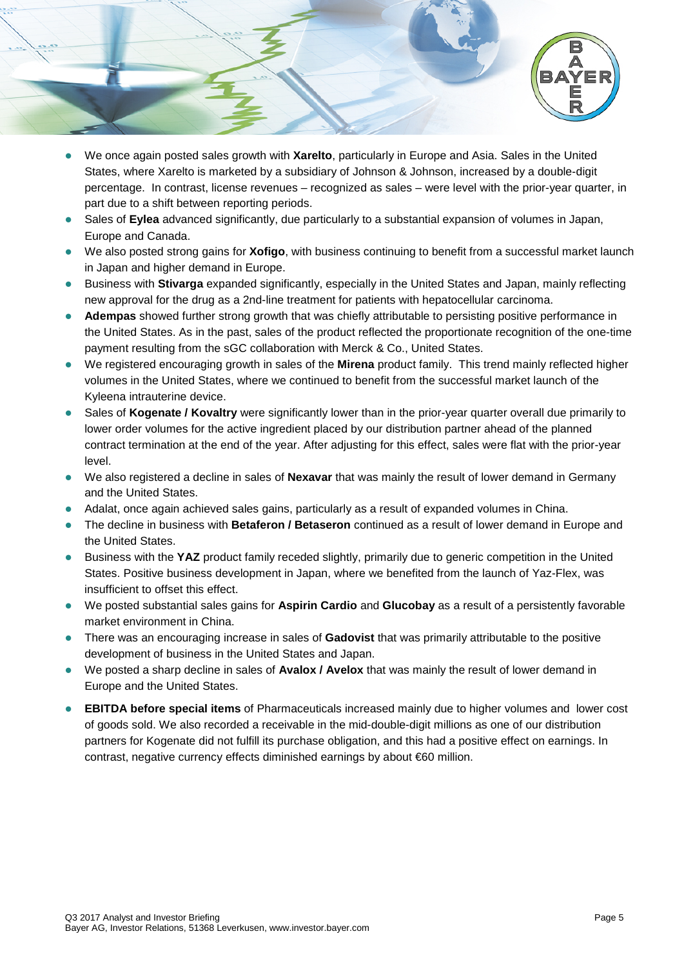

- We once again posted sales growth with **Xarelto**, particularly in Europe and Asia. Sales in the United States, where Xarelto is marketed by a subsidiary of Johnson & Johnson, increased by a double-digit percentage. In contrast, license revenues – recognized as sales – were level with the prior-year quarter, in part due to a shift between reporting periods.
- Sales of **Eylea** advanced significantly, due particularly to a substantial expansion of volumes in Japan, Europe and Canada.
- We also posted strong gains for **Xofigo**, with business continuing to benefit from a successful market launch in Japan and higher demand in Europe.
- Business with **Stivarga** expanded significantly, especially in the United States and Japan, mainly reflecting new approval for the drug as a 2nd-line treatment for patients with hepatocellular carcinoma.
- **Adempas** showed further strong growth that was chiefly attributable to persisting positive performance in the United States. As in the past, sales of the product reflected the proportionate recognition of the one-time payment resulting from the sGC collaboration with Merck & Co., United States.
- We registered encouraging growth in sales of the **Mirena** product family. This trend mainly reflected higher volumes in the United States, where we continued to benefit from the successful market launch of the Kyleena intrauterine device.
- Sales of **Kogenate / Kovaltry** were significantly lower than in the prior-year quarter overall due primarily to lower order volumes for the active ingredient placed by our distribution partner ahead of the planned contract termination at the end of the year. After adjusting for this effect, sales were flat with the prior-year level.
- We also registered a decline in sales of **Nexavar** that was mainly the result of lower demand in Germany and the United States.
- Adalat, once again achieved sales gains, particularly as a result of expanded volumes in China.
- The decline in business with **Betaferon / Betaseron** continued as a result of lower demand in Europe and the United States.
- Business with the **YAZ** product family receded slightly, primarily due to generic competition in the United States. Positive business development in Japan, where we benefited from the launch of Yaz-Flex, was insufficient to offset this effect.
- We posted substantial sales gains for **Aspirin Cardio** and **Glucobay** as a result of a persistently favorable market environment in China.
- There was an encouraging increase in sales of **Gadovist** that was primarily attributable to the positive development of business in the United States and Japan.
- We posted a sharp decline in sales of **Avalox / Avelox** that was mainly the result of lower demand in Europe and the United States.
- **EBITDA before special items** of Pharmaceuticals increased mainly due to higher volumes and lower cost of goods sold. We also recorded a receivable in the mid-double-digit millions as one of our distribution partners for Kogenate did not fulfill its purchase obligation, and this had a positive effect on earnings. In contrast, negative currency effects diminished earnings by about €60 million.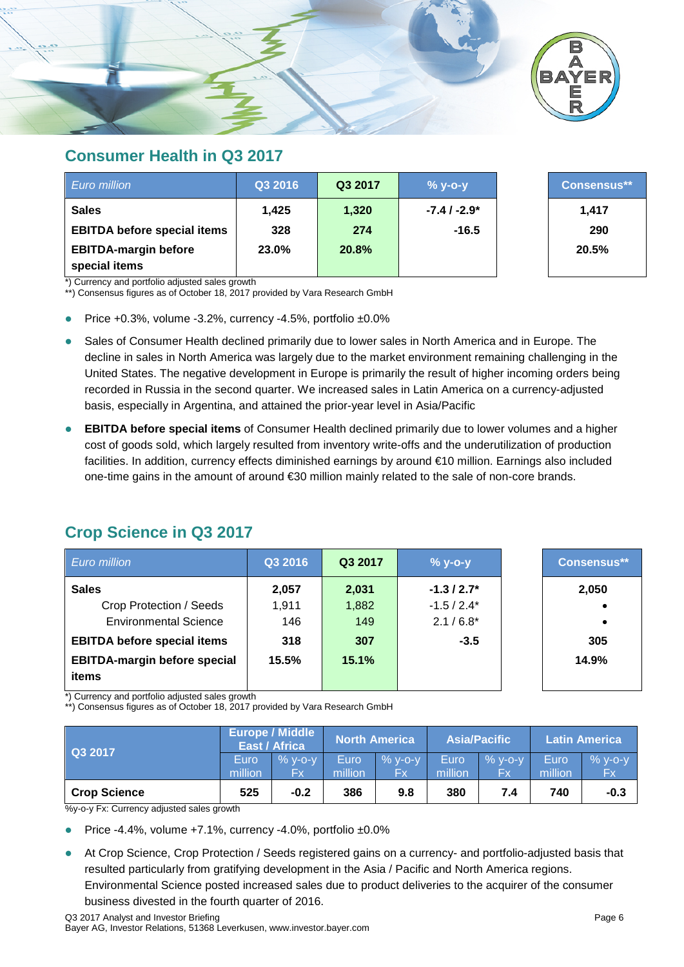

#### **Consumer Health in Q3 2017**

| Euro million                                 | Q3 2016 | Q3 2017 | $%$ y-o-y     | <b>Consensus**</b> |
|----------------------------------------------|---------|---------|---------------|--------------------|
| <b>Sales</b>                                 | 1,425   | 1,320   | $-7.4/ -2.9*$ | 1,417              |
| <b>EBITDA before special items</b>           | 328     | 274     | $-16.5$       | 290                |
| <b>EBITDA-margin before</b><br>special items | 23.0%   | 20.8%   |               | 20.5%              |

\*) Currency and portfolio adjusted sales growth

\*\*) Consensus figures as of October 18, 2017 provided by Vara Research GmbH

- Price +0.3%, volume -3.2%, currency -4.5%, portfolio ±0.0%
- Sales of Consumer Health declined primarily due to lower sales in North America and in Europe. The decline in sales in North America was largely due to the market environment remaining challenging in the United States. The negative development in Europe is primarily the result of higher incoming orders being recorded in Russia in the second quarter. We increased sales in Latin America on a currency-adjusted basis, especially in Argentina, and attained the prior-year level in Asia/Pacific
- **EBITDA before special items** of Consumer Health declined primarily due to lower volumes and a higher cost of goods sold, which largely resulted from inventory write-offs and the underutilization of production facilities. In addition, currency effects diminished earnings by around €10 million. Earnings also included one-time gains in the amount of around €30 million mainly related to the sale of non-core brands.

## **Crop Science in Q3 2017**

| <b>Euro million</b>                 | Q3 2016 | Q3 2017 | $% y-o-y$   | <b>Consensus**</b> |
|-------------------------------------|---------|---------|-------------|--------------------|
| <b>Sales</b>                        | 2,057   | 2,031   | $-1.3/2.7*$ | 2,050              |
| Crop Protection / Seeds             | 1,911   | 1,882   | $-1.5/2.4*$ |                    |
| <b>Environmental Science</b>        | 146     | 149     | $2.1/6.8*$  |                    |
| <b>EBITDA before special items</b>  | 318     | 307     | $-3.5$      | 305                |
| <b>EBITDA-margin before special</b> | 15.5%   | 15.1%   |             | 14.9%              |
| items                               |         |         |             |                    |

\*) Currency and portfolio adjusted sales growth

\*\*) Consensus figures as of October 18, 2017 provided by Vara Research GmbH

| Q3 2017             |                 | <b>Europe / Middle</b><br><b>East / Africa</b> |                 | <b>North America</b>   |                 | <b>Asia/Pacific</b> |                 | <b>Latin America</b> |
|---------------------|-----------------|------------------------------------------------|-----------------|------------------------|-----------------|---------------------|-----------------|----------------------|
|                     | Euro<br>million | $%$ V-O-V<br>Fx                                | Euro<br>million | $%$ V-O-V<br><b>Fx</b> | Euro<br>million | $%$ v-o-v<br>Fx     | Euro<br>million | $%$ y-o-y<br>Fx      |
| <b>Crop Science</b> | 525             | $-0.2$                                         | 386             | 9.8                    | 380             | 7.4                 | 740             | $-0.3$               |

%y-o-y Fx: Currency adjusted sales growth

- Price -4.4%, volume +7.1%, currency -4.0%, portfolio ±0.0%
- At Crop Science, Crop Protection / Seeds registered gains on a currency- and portfolio-adjusted basis that resulted particularly from gratifying development in the Asia / Pacific and North America regions. Environmental Science posted increased sales due to product deliveries to the acquirer of the consumer business divested in the fourth quarter of 2016.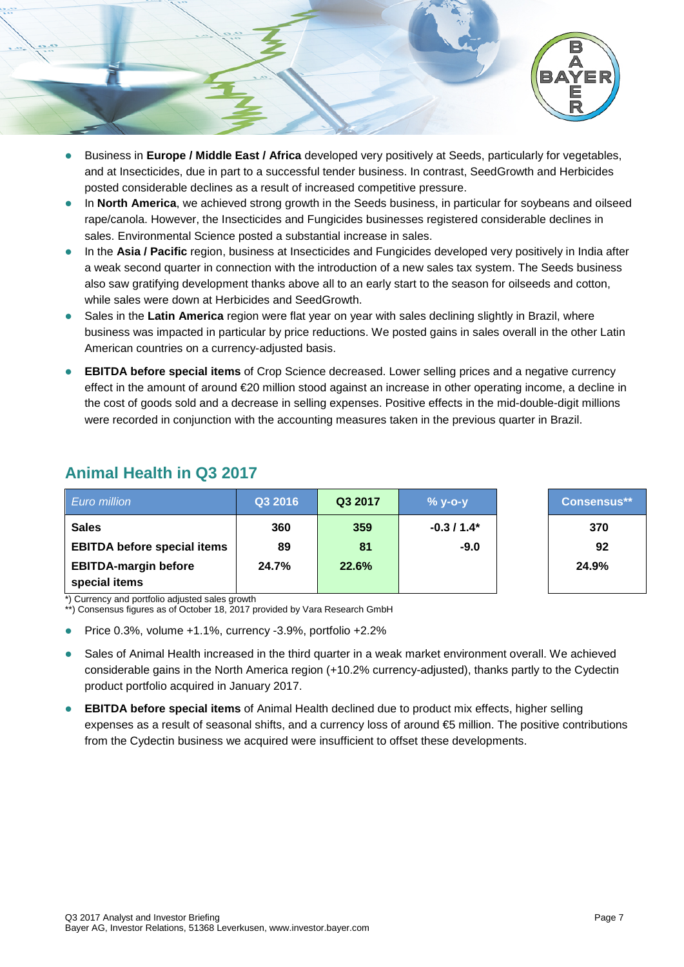

- Business in **Europe / Middle East / Africa** developed very positively at Seeds, particularly for vegetables, and at Insecticides, due in part to a successful tender business. In contrast, SeedGrowth and Herbicides posted considerable declines as a result of increased competitive pressure.
- In **North America**, we achieved strong growth in the Seeds business, in particular for soybeans and oilseed rape/canola. However, the Insecticides and Fungicides businesses registered considerable declines in sales. Environmental Science posted a substantial increase in sales.
- In the **Asia / Pacific** region, business at Insecticides and Fungicides developed very positively in India after a weak second quarter in connection with the introduction of a new sales tax system. The Seeds business also saw gratifying development thanks above all to an early start to the season for oilseeds and cotton, while sales were down at Herbicides and SeedGrowth.
- Sales in the **Latin America** region were flat year on year with sales declining slightly in Brazil, where business was impacted in particular by price reductions. We posted gains in sales overall in the other Latin American countries on a currency-adjusted basis.
- **EBITDA before special items** of Crop Science decreased. Lower selling prices and a negative currency effect in the amount of around €20 million stood against an increase in other operating income, a decline in the cost of goods sold and a decrease in selling expenses. Positive effects in the mid-double-digit millions were recorded in conjunction with the accounting measures taken in the previous quarter in Brazil.

| <b>Euro million</b>                          | Q3 2016 | Q3 2017 | $%$ y-o-y   | <b>Consensus**</b> |
|----------------------------------------------|---------|---------|-------------|--------------------|
| <b>Sales</b>                                 | 360     | 359     | $-0.3/1.4*$ | 370                |
| <b>EBITDA before special items</b>           | 89      | 81      | $-9.0$      | 92                 |
| <b>EBITDA-margin before</b><br>special items | 24.7%   | 22.6%   |             | 24.9%              |

## **Animal Health in Q3 2017**

\*) Currency and portfolio adjusted sales growth

\*\*) Consensus figures as of October 18, 2017 provided by Vara Research GmbH

- Price 0.3%, volume +1.1%, currency -3.9%, portfolio +2.2%
- Sales of Animal Health increased in the third quarter in a weak market environment overall. We achieved considerable gains in the North America region (+10.2% currency-adjusted), thanks partly to the Cydectin product portfolio acquired in January 2017.
- **EBITDA before special items** of Animal Health declined due to product mix effects, higher selling expenses as a result of seasonal shifts, and a currency loss of around €5 million. The positive contributions from the Cydectin business we acquired were insufficient to offset these developments.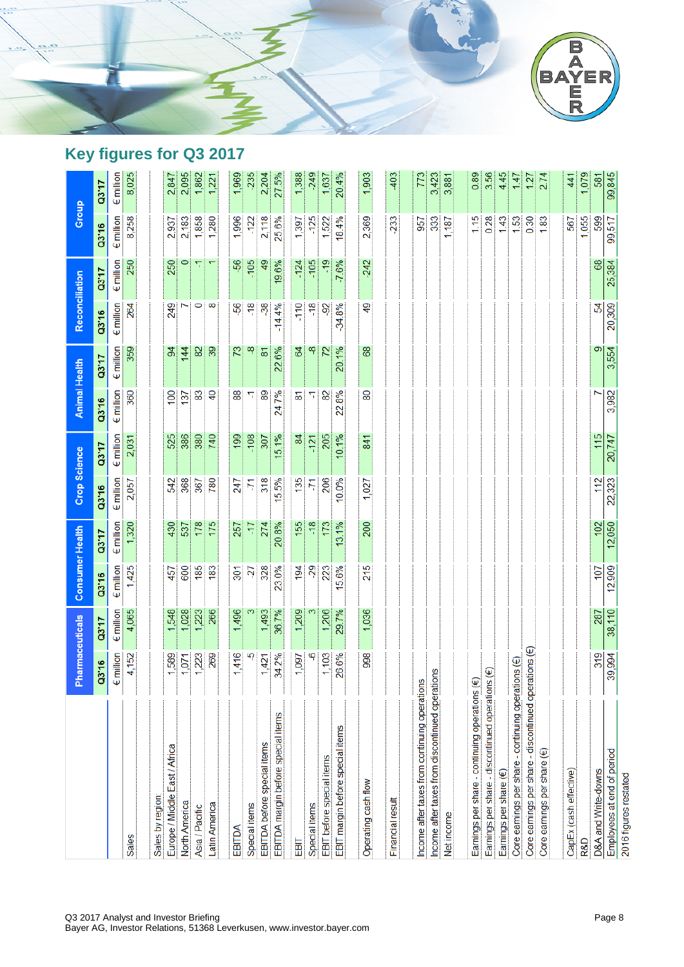

# **Key figures for Q3 2017**

|                                                              | Pharmaceuticals                  |                    | Consumer Health    |                    | Crop Science       |                    | <b>Animal Health</b> |                    | Reconciliation     |                    | Group              |                    |
|--------------------------------------------------------------|----------------------------------|--------------------|--------------------|--------------------|--------------------|--------------------|----------------------|--------------------|--------------------|--------------------|--------------------|--------------------|
|                                                              | Q3'16                            | <b>UL.CO</b>       | Q3'16              | 03'17              | Q3'16              | 03'17              | Q3'16                | <b>UL.ED</b>       | Q3'16              | <b>UL.ED</b>       | Q3'16              | <b>UL.ED</b>       |
|                                                              | <b>E</b> million                 | $\epsilon$ million | $\epsilon$ million | $\epsilon$ million | $\epsilon$ million | $\epsilon$ million | $\epsilon$ million   | $\epsilon$ million | $\epsilon$ million | $\epsilon$ million | $\epsilon$ million | $\epsilon$ million |
| <b>Sales</b>                                                 | 4,152                            | 4,065              | 1,425              | 1,320              | 2,057              | 2,031              | 360                  | 359                | 264                | 250                | 8,258              | 8,025              |
|                                                              |                                  |                    |                    |                    |                    |                    |                      |                    |                    |                    |                    |                    |
| Sales by region:                                             |                                  |                    |                    |                    |                    |                    |                      |                    |                    |                    |                    |                    |
| Europe / Middle East / Africa                                | 1,589                            | 1,548              | 457                | 430                | 542                | 525                | $\overline{100}$     | $\mathfrak{B}$     | 249                | 250                | 2,937              | 2,847              |
| North America                                                | 1,071                            | 1,028              | 600                | 537                | 368                | 386                | 137                  | 144                |                    | 0                  | 2,183              | 2,095              |
| Asia / Pacific                                               | 1,223                            | 1,223              | 185                | 178                | 367                | 380                | 83                   | 29                 | 0                  | 77                 | 1,858              | 1,862              |
| Latin America                                                | 269                              | 266                | 183                | 175                | 780                | 740                | $\overline{4}$       | 39                 | 8                  | ᠇                  | 1,280              | 1,221              |
|                                                              |                                  |                    |                    |                    |                    |                    |                      |                    |                    |                    |                    |                    |
| EBITDA                                                       | ,416<br>$\overline{\phantom{0}}$ | 1,496              | $\overline{301}$   | 257                | 247                | 199                | 88                   | 73                 | -56                | \$6                | 1,996              | 1,969              |
| Special items                                                | ယှ                               |                    | -27                | 71-                | 71                 | $-108$             | π                    | ထု                 | $-18$              | $-105$             | $-122$             | $-235$             |
| EBITDA before special items                                  | 1,421                            | 1,493              | 328                | 274                | 318                | 307                | 89                   | $\overline{8}$     | 38                 | $\overline{49}$    | 2,118              | 2,204              |
| EBITDA margin before special items                           | 34.2%                            | 36.7%              | 23.0%              | 20.8%              | 15.5%              | 15.1%              | 24.7%                | 22.6%              | $-14.4%$           | 19.6%              | 25.6%              | 27.5%              |
| EBIT                                                         | 1,097                            | 1,209              | 194                | 155                | 135                | 84                 | 동                    | 64                 | $-110$             | $-124$             | 1,397              | 1,388              |
| Special items                                                | 9                                |                    | 29                 | $-18$              | Ņ                  | $-121$             | π                    | ထု                 | $-18$              | $-105$             | $-125$             | $-249$             |
| EBIT before special items                                    | 1,103                            | 1,206              | 223                | 173                | 206                | 205                | 82                   | 72                 | -92                | $-19$              | 1,522              | 1,637              |
| EBIT margin before special items                             | 26.6%                            | 29.7%              | 15.6%              | 13.1%              | 10.0%              | 10.1%              | 22.8%                | 20.1%              | $-34.8%$           | $-7.6%$            | 18.4%              | 20.4%              |
|                                                              |                                  |                    |                    |                    |                    |                    |                      |                    |                    |                    |                    |                    |
| Operating cash flow                                          | 998                              | 1,036              | 215                | 200                | 1,027              | 841                | 80                   | 89                 | 9                  | $-242$             | 2,369              | 1,903              |
| Financial result                                             |                                  |                    |                    |                    |                    |                    |                      |                    |                    |                    | 233                | 403                |
|                                                              |                                  |                    |                    |                    |                    |                    |                      |                    |                    |                    |                    |                    |
| Income after taxes from continuing operations                |                                  |                    |                    |                    |                    |                    |                      |                    |                    |                    | 957                | 773                |
| Income after taxes from discontinued operations              |                                  |                    |                    |                    |                    |                    |                      |                    |                    |                    | 333                | 3,423              |
| Net income                                                   |                                  |                    |                    |                    |                    |                    |                      |                    |                    |                    | 1,187              | 3,881              |
|                                                              |                                  |                    |                    |                    |                    |                    |                      |                    |                    |                    |                    |                    |
| Earnings per share - continuing operations (€)               |                                  |                    |                    |                    |                    |                    |                      |                    |                    |                    | 115                | 0.89               |
| Earnings per share - discontinued operations (€)             |                                  |                    |                    |                    |                    |                    |                      |                    |                    |                    | 0.28               | 3.56               |
| Earnings per share (€)                                       |                                  |                    |                    |                    |                    |                    |                      |                    |                    |                    | 1.43               | 4.45               |
| Core earnings per share - continuing operations $(\epsilon)$ |                                  |                    |                    |                    |                    |                    |                      |                    |                    |                    | 1.53               | 147                |
| Core earnings per share - discontinued operations (€)        |                                  |                    |                    |                    |                    |                    |                      |                    |                    |                    | 0.30               | 127                |
| Core earnings per share $(\epsilon)$                         |                                  |                    |                    |                    |                    |                    |                      |                    |                    |                    | 1.83               | 2.74               |
|                                                              |                                  |                    |                    |                    |                    |                    |                      |                    |                    |                    |                    |                    |
| CapEx (cash effective)                                       |                                  |                    |                    |                    |                    |                    |                      |                    |                    |                    | 567                | 441                |
| R&D                                                          |                                  |                    |                    |                    |                    |                    |                      |                    |                    |                    | ,055               | 1,079              |
| D&A and Write-downs                                          | 319                              | 287                | 107                | 102                | 112                | 115                |                      | 9                  | 2                  | 68                 | 599                | 581                |
| Employees at end of period                                   | 39,994                           | 38,110             | 12,909             | 12,050             | 22,323             | 20,747             | 3,982                | 3,554              | 20,309             | 25,384             | 99,517             | 99,845             |
| 2016 figures restated                                        |                                  |                    |                    |                    |                    |                    |                      |                    |                    |                    |                    |                    |